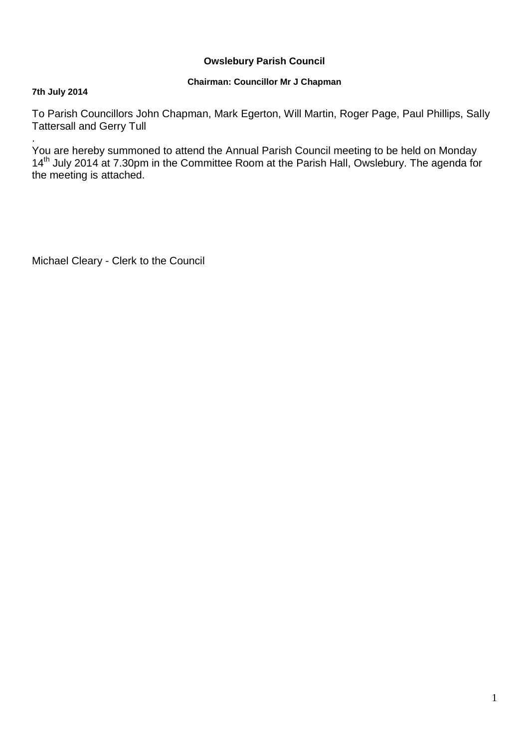## **Owslebury Parish Council**

### **Chairman: Councillor Mr J Chapman**

### **7th July 2014**

To Parish Councillors John Chapman, Mark Egerton, Will Martin, Roger Page, Paul Phillips, Sally Tattersall and Gerry Tull

. You are hereby summoned to attend the Annual Parish Council meeting to be held on Monday 14<sup>th</sup> July 2014 at 7.30pm in the Committee Room at the Parish Hall, Owslebury. The agenda for the meeting is attached.

Michael Cleary - Clerk to the Council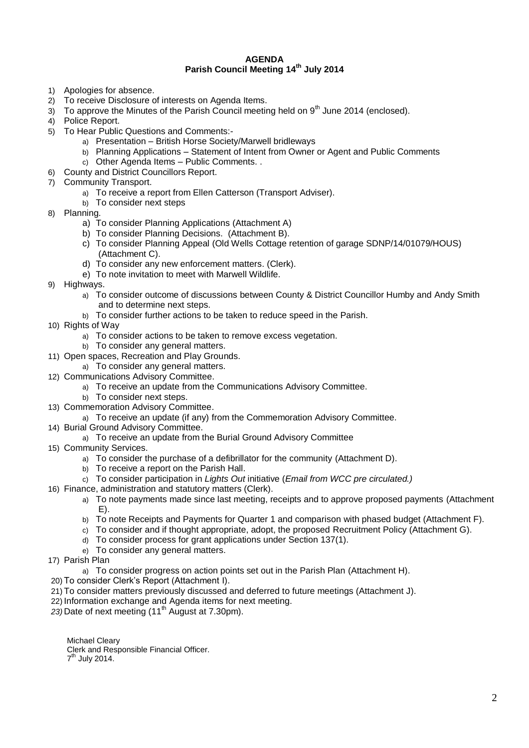#### **AGENDA Parish Council Meeting 14th July 2014**

- 1) Apologies for absence.
- 2) To receive Disclosure of interests on Agenda Items.
- $3)$  To approve the Minutes of the Parish Council meeting held on  $9<sup>th</sup>$  June 2014 (enclosed).
- 4) Police Report.
- 5) To Hear Public Questions and Comments:
	- a) Presentation British Horse Society/Marwell bridleways
	- b) Planning Applications Statement of Intent from Owner or Agent and Public Comments
	- c) Other Agenda Items Public Comments. .
- 6) County and District Councillors Report.
- 7) Community Transport.
	- a) To receive a report from Ellen Catterson (Transport Adviser).
	- b) To consider next steps
- 8) Planning.
	- a) To consider Planning Applications (Attachment A)
	- b) To consider Planning Decisions. (Attachment B).
	- c) To consider Planning Appeal (Old Wells Cottage retention of garage SDNP/14/01079/HOUS) (Attachment C).
	- d) To consider any new enforcement matters. (Clerk).
	- e) To note invitation to meet with Marwell Wildlife.
- 9) Highways.
	- a) To consider outcome of discussions between County & District Councillor Humby and Andy Smith and to determine next steps.
	- b) To consider further actions to be taken to reduce speed in the Parish.
- 10) Rights of Way
	- a) To consider actions to be taken to remove excess vegetation.
	- b) To consider any general matters.
- 11) Open spaces, Recreation and Play Grounds.
	- a) To consider any general matters.
- 12) Communications Advisory Committee.
	- a) To receive an update from the Communications Advisory Committee.
		- b) To consider next steps.
- 13) Commemoration Advisory Committee.
	- a) To receive an update (if any) from the Commemoration Advisory Committee.
- 14) Burial Ground Advisory Committee.
	- a) To receive an update from the Burial Ground Advisory Committee
- 15) Community Services.
	- a) To consider the purchase of a defibrillator for the community (Attachment D).
	- b) To receive a report on the Parish Hall.
	- c) To consider participation in *Lights Out* initiative (*Email from WCC pre circulated.)*
- 16) Finance, administration and statutory matters (Clerk).
	- a) To note payments made since last meeting, receipts and to approve proposed payments (Attachment E).
	- b) To note Receipts and Payments for Quarter 1 and comparison with phased budget (Attachment F).
	- c) To consider and if thought appropriate, adopt, the proposed Recruitment Policy (Attachment G).
	- d) To consider process for grant applications under Section 137(1).
	- e) To consider any general matters.
- 17) Parish Plan
	- a) To consider progress on action points set out in the Parish Plan (Attachment H).
- 20) To consider Clerk's Report (Attachment I).
- 21) To consider matters previously discussed and deferred to future meetings (Attachment J).
- 22) Information exchange and Agenda items for next meeting.
- 23) Date of next meeting (11<sup>th</sup> August at 7.30pm).

Michael Cleary Clerk and Responsible Financial Officer. 7<sup>th</sup> July 2014.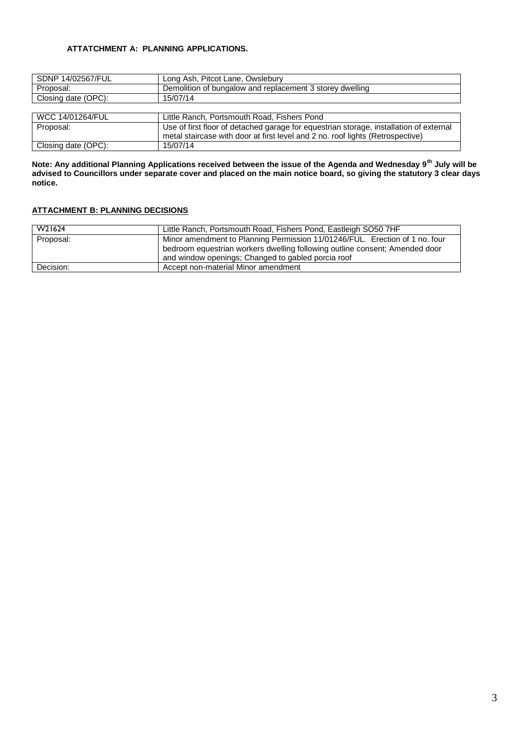### **ATTATCHMENT A: PLANNING APPLICATIONS.**

| SDNP 14/02567/FUL       | Long Ash, Pitcot Lane, Owslebury                                                       |
|-------------------------|----------------------------------------------------------------------------------------|
| Proposal:               | Demolition of bungalow and replacement 3 storey dwelling                               |
| Closing date (OPC):     | 15/07/14                                                                               |
|                         |                                                                                        |
| <b>WCC 14/01264/FUL</b> | Little Ranch, Portsmouth Road, Fishers Pond                                            |
| Proposal:               | Use of first floor of detached garage for equestrian storage, installation of external |
|                         | metal staircase with door at first level and 2 no. roof lights (Retrospective)         |
| Closing date (OPC):     | 15/07/14                                                                               |

**Note: Any additional Planning Applications received between the issue of the Agenda and Wednesday 9th July will be advised to Councillors under separate cover and placed on the main notice board, so giving the statutory 3 clear days notice.** 

### **ATTACHMENT B: PLANNING DECISIONS**

| W21624    | Little Ranch, Portsmouth Road, Fishers Pond, Eastleigh SO50 7HF                                                                                                                                                  |
|-----------|------------------------------------------------------------------------------------------------------------------------------------------------------------------------------------------------------------------|
| Proposal: | Minor amendment to Planning Permission 11/01246/FUL. Erection of 1 no. four<br>bedroom equestrian workers dwelling following outline consent; Amended door<br>and window openings; Changed to gabled porcia roof |
| Decision: | Accept non-material Minor amendment                                                                                                                                                                              |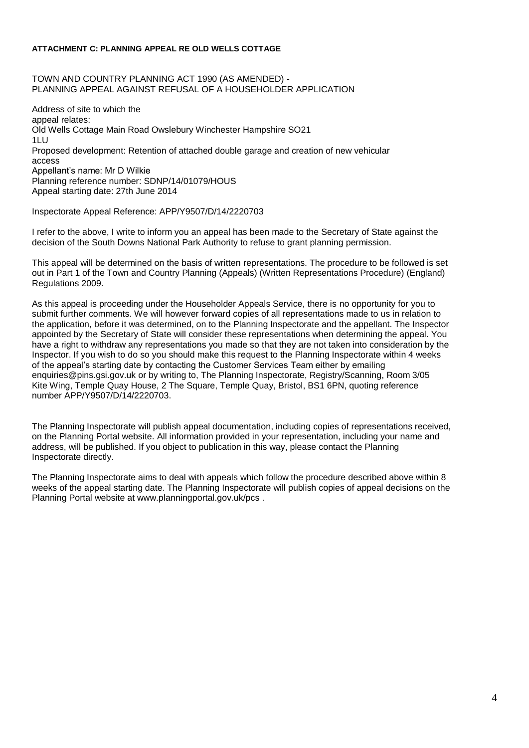#### **ATTACHMENT C: PLANNING APPEAL RE OLD WELLS COTTAGE**

TOWN AND COUNTRY PLANNING ACT 1990 (AS AMENDED) - PLANNING APPEAL AGAINST REFUSAL OF A HOUSEHOLDER APPLICATION

Address of site to which the appeal relates: Old Wells Cottage Main Road Owslebury Winchester Hampshire SO21 1LU Proposed development: Retention of attached double garage and creation of new vehicular access Appellant's name: Mr D Wilkie Planning reference number: SDNP/14/01079/HOUS Appeal starting date: 27th June 2014

Inspectorate Appeal Reference: APP/Y9507/D/14/2220703

I refer to the above, I write to inform you an appeal has been made to the Secretary of State against the decision of the South Downs National Park Authority to refuse to grant planning permission.

This appeal will be determined on the basis of written representations. The procedure to be followed is set out in Part 1 of the Town and Country Planning (Appeals) (Written Representations Procedure) (England) Regulations 2009.

As this appeal is proceeding under the Householder Appeals Service, there is no opportunity for you to submit further comments. We will however forward copies of all representations made to us in relation to the application, before it was determined, on to the Planning Inspectorate and the appellant. The Inspector appointed by the Secretary of State will consider these representations when determining the appeal. You have a right to withdraw any representations you made so that they are not taken into consideration by the Inspector. If you wish to do so you should make this request to the Planning Inspectorate within 4 weeks of the appeal's starting date by contacting the Customer Services Team either by emailing enquiries@pins.gsi.gov.uk or by writing to, The Planning Inspectorate, Registry/Scanning, Room 3/05 Kite Wing, Temple Quay House, 2 The Square, Temple Quay, Bristol, BS1 6PN, quoting reference number APP/Y9507/D/14/2220703.

The Planning Inspectorate will publish appeal documentation, including copies of representations received, on the Planning Portal website. All information provided in your representation, including your name and address, will be published. If you object to publication in this way, please contact the Planning Inspectorate directly.

The Planning Inspectorate aims to deal with appeals which follow the procedure described above within 8 weeks of the appeal starting date. The Planning Inspectorate will publish copies of appeal decisions on the Planning Portal website at www.planningportal.gov.uk/pcs .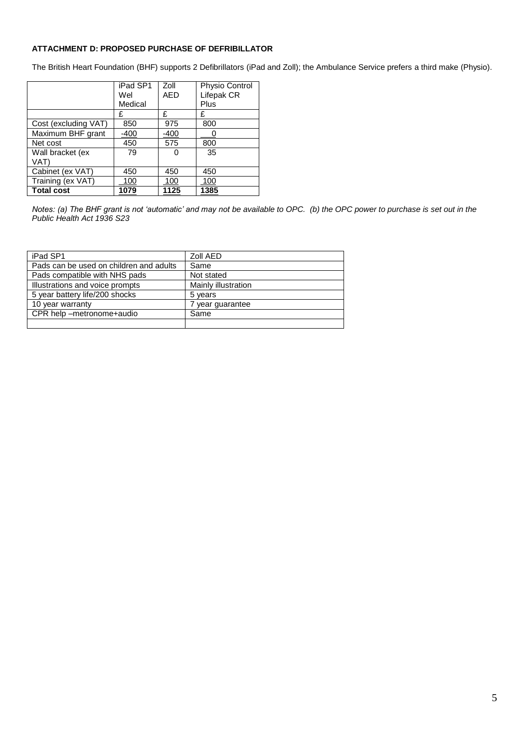#### **ATTACHMENT D: PROPOSED PURCHASE OF DEFRIBILLATOR**

The British Heart Foundation (BHF) supports 2 Defibrillators (iPad and Zoll); the Ambulance Service prefers a third make (Physio).

|                      | iPad SP1 | Zoll       | Physio Control |
|----------------------|----------|------------|----------------|
|                      | Wel      | <b>AED</b> | Lifepak CR     |
|                      | Medical  |            | Plus           |
|                      | £        | £          | £              |
| Cost (excluding VAT) | 850      | 975        | 800            |
| Maximum BHF grant    | -400     | $-400$     |                |
| Net cost             | 450      | 575        | 800            |
| Wall bracket (ex     | 79       | Ω          | 35             |
| VAT)                 |          |            |                |
| Cabinet (ex VAT)     | 450      | 450        | 450            |
| Training (ex VAT)    | 100      | 100        | 100            |
| <b>Total cost</b>    | 1079     | 1125       | 1385           |

*Notes: (a) The BHF grant is not 'automatic' and may not be available to OPC. (b) the OPC power to purchase is set out in the Public Health Act 1936 S23*

| iPad SP1                                | Zoll AED            |
|-----------------------------------------|---------------------|
| Pads can be used on children and adults | Same                |
| Pads compatible with NHS pads           | Not stated          |
| Illustrations and voice prompts         | Mainly illustration |
| 5 year battery life/200 shocks          | 5 years             |
| 10 year warranty                        | 7 year guarantee    |
| CPR help -metronome+audio               | Same                |
|                                         |                     |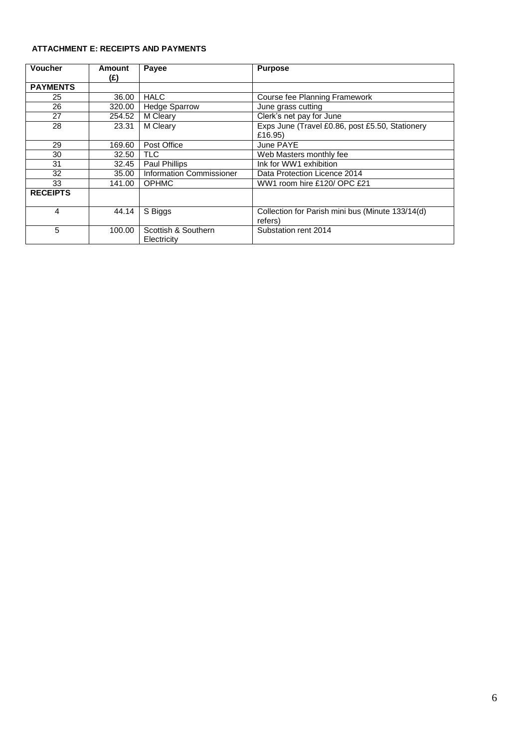### **ATTACHMENT E: RECEIPTS AND PAYMENTS**

| <b>Voucher</b>  | Amount | Payee                              | <b>Purpose</b>                                              |
|-----------------|--------|------------------------------------|-------------------------------------------------------------|
|                 | (£)    |                                    |                                                             |
| <b>PAYMENTS</b> |        |                                    |                                                             |
| 25              | 36.00  | <b>HALC</b>                        | Course fee Planning Framework                               |
| 26              | 320.00 | <b>Hedge Sparrow</b>               | June grass cutting                                          |
| 27              | 254.52 | M Cleary                           | Clerk's net pay for June                                    |
| 28              | 23.31  | M Cleary                           | Exps June (Travel £0.86, post £5.50, Stationery<br>£16.95)  |
| 29              | 169.60 | Post Office                        | June PAYE                                                   |
| 30              | 32.50  | <b>TLC</b>                         | Web Masters monthly fee                                     |
| 31              | 32.45  | Paul Phillips                      | Ink for WW1 exhibition                                      |
| 32              | 35.00  | <b>Information Commissioner</b>    | Data Protection Licence 2014                                |
| 33              | 141.00 | <b>OPHMC</b>                       | WW1 room hire £120/ OPC £21                                 |
| <b>RECEIPTS</b> |        |                                    |                                                             |
| 4               | 44.14  | S Biggs                            | Collection for Parish mini bus (Minute 133/14(d)<br>refers) |
| 5               | 100.00 | Scottish & Southern<br>Electricity | Substation rent 2014                                        |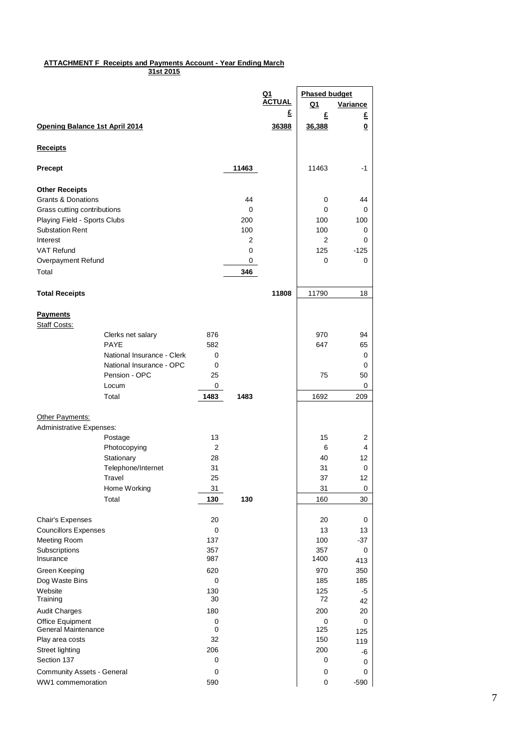#### **ATTACHMENT F Receipts and Payments Account - Year Ending March 31st 2015**

|                                                              |                            |           |       | <u>Q1</u>     | <b>Phased budget</b> |           |
|--------------------------------------------------------------|----------------------------|-----------|-------|---------------|----------------------|-----------|
|                                                              |                            |           |       | <b>ACTUAL</b> | Q1                   | Variance  |
|                                                              |                            |           |       | £             | £                    | £         |
| Opening Balance 1st April 2014                               |                            |           |       | 36388         | 36,388               | $\bf{0}$  |
| <b>Receipts</b>                                              |                            |           |       |               |                      |           |
| Precept                                                      |                            |           | 11463 |               | 11463                | $-1$      |
|                                                              |                            |           |       |               |                      |           |
| <b>Other Receipts</b>                                        |                            |           | 44    |               |                      |           |
| <b>Grants &amp; Donations</b><br>Grass cutting contributions |                            |           | 0     |               | 0<br>$\mathbf 0$     | 44<br>0   |
| Playing Field - Sports Clubs                                 |                            |           | 200   |               | 100                  | 100       |
| <b>Substation Rent</b>                                       |                            |           | 100   |               | 100                  | 0         |
| Interest                                                     |                            |           | 2     |               | 2                    | 0         |
| <b>VAT Refund</b>                                            |                            |           | 0     |               | 125                  | $-125$    |
| Overpayment Refund                                           |                            |           | 0     |               | 0                    | 0         |
| Total                                                        |                            |           | 346   |               |                      |           |
|                                                              |                            |           |       |               |                      |           |
| <b>Total Receipts</b>                                        |                            |           |       | 11808         | 11790                | 18        |
| <b>Payments</b><br>Staff Costs:                              |                            |           |       |               |                      |           |
|                                                              | Clerks net salary          | 876       |       |               | 970                  | 94        |
|                                                              | <b>PAYE</b>                | 582       |       |               | 647                  | 65        |
|                                                              | National Insurance - Clerk | 0         |       |               |                      | 0         |
|                                                              | National Insurance - OPC   | 0         |       |               |                      | 0         |
|                                                              | Pension - OPC              | 25        |       |               | 75                   | 50        |
|                                                              | Locum                      | 0         |       |               |                      | 0         |
|                                                              | Total                      | 1483      | 1483  |               | 1692                 | 209       |
|                                                              |                            |           |       |               |                      |           |
| Other Payments:                                              |                            |           |       |               |                      |           |
| Administrative Expenses:                                     |                            |           |       |               |                      |           |
|                                                              | Postage<br>Photocopying    | 13<br>2   |       |               | 15<br>6              | 2<br>4    |
|                                                              | Stationary                 | 28        |       |               | 40                   | 12        |
|                                                              | Telephone/Internet         | 31        |       |               | 31                   | 0         |
|                                                              | Travel                     | 25        |       |               | 37                   | 12        |
|                                                              | Home Working               | 31        |       |               | 31                   | $\pmb{0}$ |
|                                                              | Total                      | 130       | 130   |               | 160                  | 30        |
|                                                              |                            |           |       |               |                      |           |
| Chair's Expenses                                             |                            | 20        |       |               | 20                   | 0         |
| <b>Councillors Expenses</b>                                  |                            | 0         |       |               | 13                   | 13        |
| Meeting Room                                                 |                            | 137       |       |               | 100                  | $-37$     |
| Subscriptions                                                |                            | 357       |       |               | 357                  | 0         |
| Insurance                                                    |                            | 987       |       |               | 1400                 | 413       |
| Green Keeping                                                |                            | 620       |       |               | 970                  | 350       |
| Dog Waste Bins                                               |                            | 0         |       |               | 185                  | 185       |
| Website<br>Training                                          |                            | 130<br>30 |       |               | 125<br>72            | -5        |
| <b>Audit Charges</b>                                         |                            | 180       |       |               | 200                  | 42<br>20  |
| Office Equipment                                             |                            | 0         |       |               | 0                    | 0         |
| General Maintenance                                          |                            | 0         |       |               | 125                  | 125       |
| Play area costs                                              |                            | 32        |       |               | 150                  | 119       |
| Street lighting                                              |                            | 206       |       |               | 200                  | -6        |
| Section 137                                                  |                            | 0         |       |               | 0                    | 0         |
| Community Assets - General                                   |                            | 0         |       |               | $\pmb{0}$            | 0         |
| WW1 commemoration                                            |                            | 590       |       |               | 0                    | $-590$    |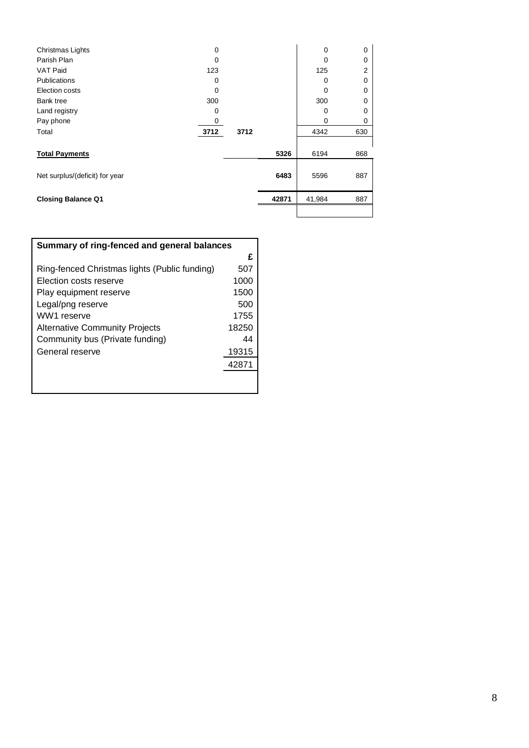| Christmas Lights               | $\Omega$ |      |       | 0      | $\Omega$ |
|--------------------------------|----------|------|-------|--------|----------|
| Parish Plan                    | 0        |      |       | 0      | 0        |
| <b>VAT Paid</b>                | 123      |      |       | 125    | 2        |
| <b>Publications</b>            | 0        |      |       | 0      | 0        |
| Election costs                 | 0        |      |       | 0      | 0        |
| <b>Bank tree</b>               | 300      |      |       | 300    | 0        |
| Land registry                  | 0        |      |       | 0      | 0        |
| Pay phone                      | 0        |      |       | 0      | 0        |
| Total                          | 3712     | 3712 |       | 4342   | 630      |
|                                |          |      |       |        |          |
| <b>Total Payments</b>          |          |      | 5326  | 6194   | 868      |
|                                |          |      |       |        |          |
| Net surplus/(deficit) for year |          |      | 6483  | 5596   | 887      |
|                                |          |      |       |        |          |
| <b>Closing Balance Q1</b>      |          |      | 42871 | 41,984 | 887      |
|                                |          |      |       |        |          |

| Summary of ring-fenced and general balances   |       |
|-----------------------------------------------|-------|
|                                               | £     |
| Ring-fenced Christmas lights (Public funding) | 507   |
| Election costs reserve                        | 1000  |
| Play equipment reserve                        | 1500  |
| Legal/png reserve                             | 500   |
| WW1 reserve                                   | 1755  |
| <b>Alternative Community Projects</b>         | 18250 |
| Community bus (Private funding)               | 44    |
| General reserve                               | 19315 |
|                                               | 42871 |
|                                               |       |
|                                               |       |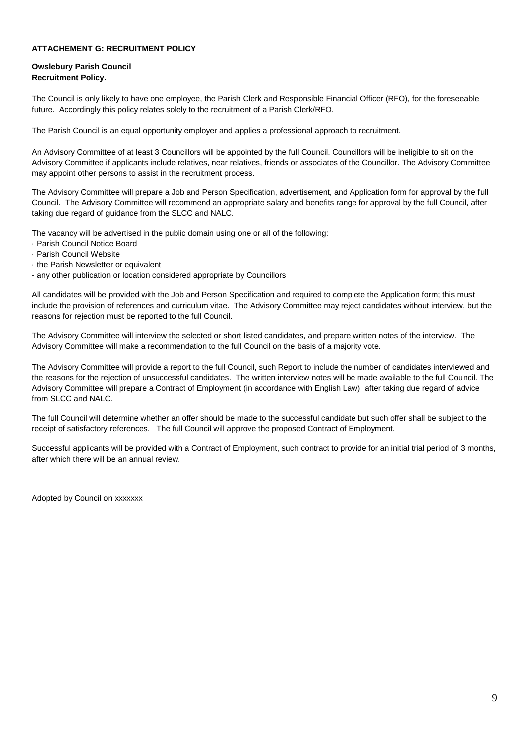#### **ATTACHEMENT G: RECRUITMENT POLICY**

#### **Owslebury Parish Council Recruitment Policy.**

The Council is only likely to have one employee, the Parish Clerk and Responsible Financial Officer (RFO), for the foreseeable future. Accordingly this policy relates solely to the recruitment of a Parish Clerk/RFO.

The Parish Council is an equal opportunity employer and applies a professional approach to recruitment.

An Advisory Committee of at least 3 Councillors will be appointed by the full Council. Councillors will be ineligible to sit on the Advisory Committee if applicants include relatives, near relatives, friends or associates of the Councillor. The Advisory Committee may appoint other persons to assist in the recruitment process.

The Advisory Committee will prepare a Job and Person Specification, advertisement, and Application form for approval by the full Council. The Advisory Committee will recommend an appropriate salary and benefits range for approval by the full Council, after taking due regard of guidance from the SLCC and NALC.

The vacancy will be advertised in the public domain using one or all of the following:

- · Parish Council Notice Board
- · Parish Council Website
- · the Parish Newsletter or equivalent

- any other publication or location considered appropriate by Councillors

All candidates will be provided with the Job and Person Specification and required to complete the Application form; this must include the provision of references and curriculum vitae. The Advisory Committee may reject candidates without interview, but the reasons for rejection must be reported to the full Council.

The Advisory Committee will interview the selected or short listed candidates, and prepare written notes of the interview. The Advisory Committee will make a recommendation to the full Council on the basis of a majority vote.

The Advisory Committee will provide a report to the full Council, such Report to include the number of candidates interviewed and the reasons for the rejection of unsuccessful candidates. The written interview notes will be made available to the full Council. The Advisory Committee will prepare a Contract of Employment (in accordance with English Law) after taking due regard of advice from SLCC and NALC.

The full Council will determine whether an offer should be made to the successful candidate but such offer shall be subject to the receipt of satisfactory references. The full Council will approve the proposed Contract of Employment.

Successful applicants will be provided with a Contract of Employment, such contract to provide for an initial trial period of 3 months, after which there will be an annual review.

Adopted by Council on xxxxxxx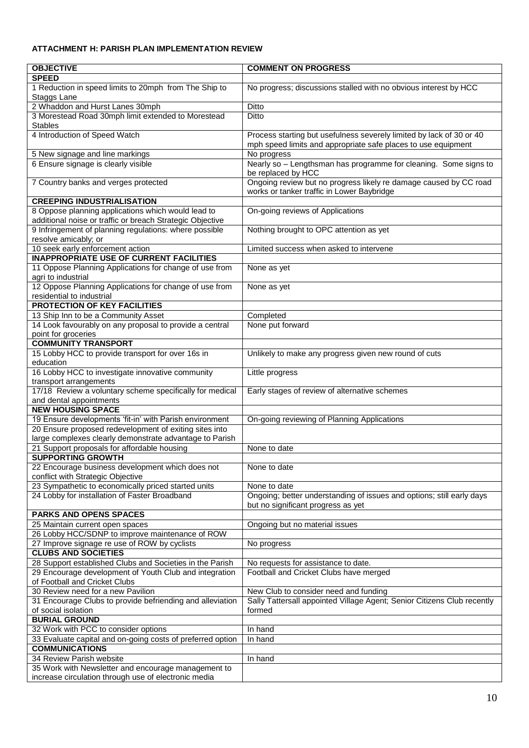### **ATTACHMENT H: PARISH PLAN IMPLEMENTATION REVIEW**

| <b>OBJECTIVE</b>                                           | <b>COMMENT ON PROGRESS</b>                                              |
|------------------------------------------------------------|-------------------------------------------------------------------------|
| <b>SPEED</b>                                               |                                                                         |
| 1 Reduction in speed limits to 20mph from The Ship to      | No progress; discussions stalled with no obvious interest by HCC        |
| Staggs Lane                                                |                                                                         |
| 2 Whaddon and Hurst Lanes 30mph                            | Ditto                                                                   |
|                                                            |                                                                         |
| 3 Morestead Road 30mph limit extended to Morestead         | <b>Ditto</b>                                                            |
| Stables                                                    |                                                                         |
| 4 Introduction of Speed Watch                              | Process starting but usefulness severely limited by lack of 30 or 40    |
|                                                            | mph speed limits and appropriate safe places to use equipment           |
| 5 New signage and line markings                            | No progress                                                             |
| 6 Ensure signage is clearly visible                        | Nearly so - Lengthsman has programme for cleaning. Some signs to        |
|                                                            | be replaced by HCC                                                      |
| 7 Country banks and verges protected                       | Ongoing review but no progress likely re damage caused by CC road       |
|                                                            | works or tanker traffic in Lower Baybridge                              |
| <b>CREEPING INDUSTRIALISATION</b>                          |                                                                         |
| 8 Oppose planning applications which would lead to         | On-going reviews of Applications                                        |
| additional noise or traffic or breach Strategic Objective  |                                                                         |
| 9 Infringement of planning regulations: where possible     | Nothing brought to OPC attention as yet                                 |
| resolve amicably; or                                       |                                                                         |
| 10 seek early enforcement action                           | Limited success when asked to intervene                                 |
| <b>INAPPROPRIATE USE OF CURRENT FACILITIES</b>             |                                                                         |
| 11 Oppose Planning Applications for change of use from     | None as yet                                                             |
| agri to industrial                                         |                                                                         |
| 12 Oppose Planning Applications for change of use from     | None as yet                                                             |
| residential to industrial                                  |                                                                         |
| <b>PROTECTION OF KEY FACILITIES</b>                        |                                                                         |
| 13 Ship Inn to be a Community Asset                        | Completed                                                               |
| 14 Look favourably on any proposal to provide a central    | None put forward                                                        |
| point for groceries                                        |                                                                         |
| <b>COMMUNITY TRANSPORT</b>                                 |                                                                         |
| 15 Lobby HCC to provide transport for over 16s in          | Unlikely to make any progress given new round of cuts                   |
| education                                                  |                                                                         |
| 16 Lobby HCC to investigate innovative community           | Little progress                                                         |
| transport arrangements                                     |                                                                         |
| 17/18 Review a voluntary scheme specifically for medical   | Early stages of review of alternative schemes                           |
| and dental appointments                                    |                                                                         |
| <b>NEW HOUSING SPACE</b>                                   |                                                                         |
| 19 Ensure developments 'fit-in' with Parish environment    | On-going reviewing of Planning Applications                             |
| 20 Ensure proposed redevelopment of exiting sites into     |                                                                         |
| large complexes clearly demonstrate advantage to Parish    |                                                                         |
| 21 Support proposals for affordable housing                | None to date                                                            |
| <b>SUPPORTING GROWTH</b>                                   |                                                                         |
| 22 Encourage business development which does not           | None to date                                                            |
| conflict with Strategic Objective                          |                                                                         |
| 23 Sympathetic to economically priced started units        | None to date                                                            |
| 24 Lobby for installation of Faster Broadband              | Ongoing; better understanding of issues and options; still early days   |
|                                                            | but no significant progress as yet                                      |
| <b>PARKS AND OPENS SPACES</b>                              |                                                                         |
| 25 Maintain current open spaces                            | Ongoing but no material issues                                          |
| 26 Lobby HCC/SDNP to improve maintenance of ROW            |                                                                         |
| 27 Improve signage re use of ROW by cyclists               | No progress                                                             |
| <b>CLUBS AND SOCIETIES</b>                                 |                                                                         |
| 28 Support established Clubs and Societies in the Parish   | No requests for assistance to date.                                     |
| 29 Encourage development of Youth Club and integration     | Football and Cricket Clubs have merged                                  |
| of Football and Cricket Clubs                              |                                                                         |
| 30 Review need for a new Pavilion                          | New Club to consider need and funding                                   |
| 31 Encourage Clubs to provide befriending and alleviation  | Sally Tattersall appointed Village Agent; Senior Citizens Club recently |
| of social isolation                                        | formed                                                                  |
| <b>BURIAL GROUND</b>                                       |                                                                         |
| 32 Work with PCC to consider options                       | In hand                                                                 |
| 33 Evaluate capital and on-going costs of preferred option | In hand                                                                 |
| <b>COMMUNICATIONS</b>                                      |                                                                         |
| 34 Review Parish website                                   | In hand                                                                 |
| 35 Work with Newsletter and encourage management to        |                                                                         |
| increase circulation through use of electronic media       |                                                                         |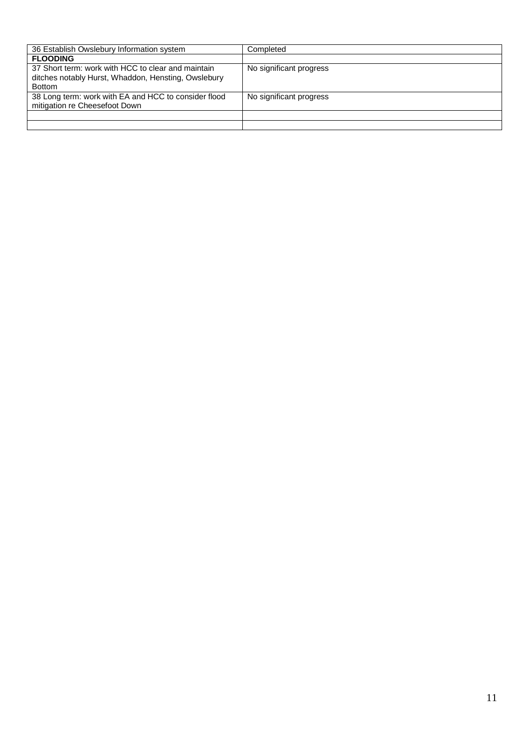| 36 Establish Owslebury Information system                                                                                  | Completed               |
|----------------------------------------------------------------------------------------------------------------------------|-------------------------|
| <b>FLOODING</b>                                                                                                            |                         |
| 37 Short term: work with HCC to clear and maintain<br>ditches notably Hurst, Whaddon, Hensting, Owslebury<br><b>Bottom</b> | No significant progress |
| 38 Long term: work with EA and HCC to consider flood<br>mitigation re Cheesefoot Down                                      | No significant progress |
|                                                                                                                            |                         |
|                                                                                                                            |                         |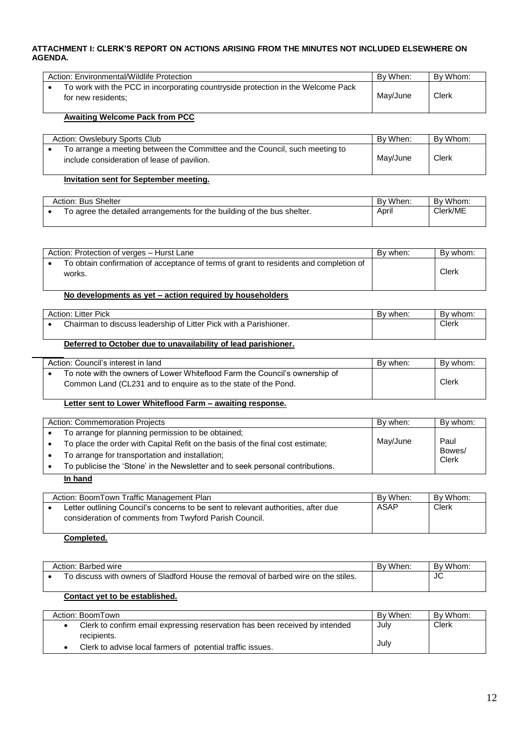#### **ATTACHMENT I: CLERK'S REPORT ON ACTIONS ARISING FROM THE MINUTES NOT INCLUDED ELSEWHERE ON AGENDA.**

| Action: Environmental/Wildlife Protection                                                              | By When: | By Whom: |
|--------------------------------------------------------------------------------------------------------|----------|----------|
| To work with the PCC in incorporating countryside protection in the Welcome Pack<br>for new residents: | Mav/June | Clerk    |

#### **Awaiting Welcome Pack from PCC**

| Action: Owslebury Sports Club                                                                                              | By When: | By Whom: |
|----------------------------------------------------------------------------------------------------------------------------|----------|----------|
| To arrange a meeting between the Committee and the Council, such meeting to<br>include consideration of lease of pavilion. | Mav/June | Clerk    |

#### **Invitation sent for September meeting.**

| Action: Bus Shelter |                                                                         | By When: | By Whom: |
|---------------------|-------------------------------------------------------------------------|----------|----------|
|                     | To agree the detailed arrangements for the building of the bus shelter. | April    | Clerk/ME |

| Action: Protection of verges - Hurst Lane                                                       | By when: | By whom: |
|-------------------------------------------------------------------------------------------------|----------|----------|
| To obtain confirmation of acceptance of terms of grant to residents and completion of<br>works. |          | Clerk    |

### **No developments as yet – action required by householders**

| Action: Litter Pick |                                                                   | Bv when: | By whom: |
|---------------------|-------------------------------------------------------------------|----------|----------|
|                     | Chairman to discuss leadership of Litter Pick with a Parishioner. |          | Clerk    |
|                     |                                                                   |          |          |

#### **Deferred to October due to unavailability of lead parishioner.**

| Action: Council's interest in land                                                                                                            | By when: | By whom: |
|-----------------------------------------------------------------------------------------------------------------------------------------------|----------|----------|
| To note with the owners of Lower Whiteflood Farm the Council's ownership of<br>Common Land (CL231 and to enguire as to the state of the Pond. |          | Clerk    |

### **Letter sent to Lower Whiteflood Farm – awaiting response.**

| Action: Commemoration Projects                                                 | By when: | By whom:        |
|--------------------------------------------------------------------------------|----------|-----------------|
| To arrange for planning permission to be obtained;                             |          |                 |
| To place the order with Capital Refit on the basis of the final cost estimate; | May/June | Paul            |
| To arrange for transportation and installation;                                |          | Bowes/<br>Clerk |
| To publicise the 'Stone' in the Newsletter and to seek personal contributions. |          |                 |
|                                                                                |          |                 |

#### **In hand**

| Action: BoomTown Traffic Management Plan                                          | By When: | By Whom: |
|-----------------------------------------------------------------------------------|----------|----------|
| Letter outlining Council's concerns to be sent to relevant authorities, after due | ASAP     | Clerk    |
| consideration of comments from Twyford Parish Council.                            |          |          |

#### **Completed.**

| Action: Barbed wire                                                                | By When: | By Whom: |
|------------------------------------------------------------------------------------|----------|----------|
| To discuss with owners of Sladford House the removal of barbed wire on the stiles. |          | JU       |

### **Contact yet to be established.**

| Action: BoomTown                                                            | By When: | By Whom: |
|-----------------------------------------------------------------------------|----------|----------|
| Clerk to confirm email expressing reservation has been received by intended | July     | Clerk    |
| recipients.                                                                 |          |          |
| Clerk to advise local farmers of potential traffic issues.                  | Julv     |          |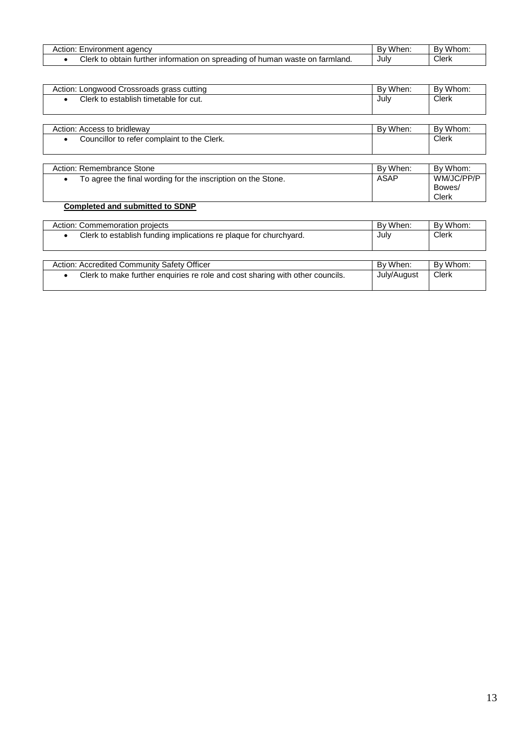| agency<br>Environment<br>tion:                                                                 | .<br>/hen. | Whom.<br>DУ |
|------------------------------------------------------------------------------------------------|------------|-------------|
| Clerk<br>obtain<br>، turther information on spreading<br>≅waste on farmland.<br>of human<br>to | Julv       | Clerk       |

| Action: Longwood Crossroads grass cutting                                 | By When: | By Whom:                      |
|---------------------------------------------------------------------------|----------|-------------------------------|
| Clerk to establish timetable for cut.                                     | July     | <b>Clerk</b>                  |
|                                                                           |          |                               |
| Action: Access to bridleway                                               | By When: | By Whom:                      |
| Councillor to refer complaint to the Clerk.                               |          | <b>Clerk</b>                  |
| Action: Remembrance Stone                                                 | By When: | By Whom:                      |
| To agree the final wording for the inscription on the Stone.<br>$\bullet$ | ASAP     | WM/JC/PP/P<br>Bowes/<br>Clerk |

# **Completed and submitted to SDNP**

| Action: Commemoration projects                                                             | By When:    | By Whom: |
|--------------------------------------------------------------------------------------------|-------------|----------|
| Clerk to establish funding implications re plaque for churchyard.                          | July        | Clerk    |
|                                                                                            |             |          |
|                                                                                            |             |          |
| Action: Accredited Community Safety Officer                                                | By When:    | By Whom: |
| Clerk to make further enquiries re role and cost sharing with other councils.<br>$\bullet$ | July/August | Clerk    |
|                                                                                            |             |          |

Clerk